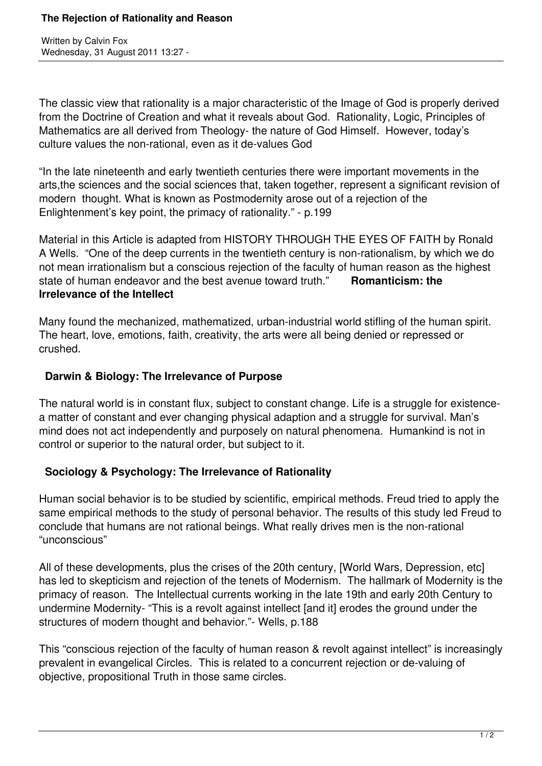Written by Calvin Fox Wednesday, 31 August 2011 13:27 -

The classic view that rationality is a major characteristic of the Image of God is properly derived from the Doctrine of Creation and what it reveals about God. Rationality, Logic, Principles of Mathematics are all derived from Theology- the nature of God Himself. However, today's culture values the non-rational, even as it de-values God

"In the late nineteenth and early twentieth centuries there were important movements in the arts,the sciences and the social sciences that, taken together, represent a significant revision of modern thought. What is known as Postmodernity arose out of a rejection of the Enlightenment's key point, the primacy of rationality." - p.199

Material in this Article is adapted from HISTORY THROUGH THE EYES OF FAITH by Ronald A Wells. "One of the deep currents in the twentieth century is non-rationalism, by which we do not mean irrationalism but a conscious rejection of the faculty of human reason as the highest state of human endeavor and the best avenue toward truth." **Romanticism: the Irrelevance of the Intellect**

Many found the mechanized, mathematized, urban-industrial world stifling of the human spirit. The heart, love, emotions, faith, creativity, the arts were all being denied or repressed or crushed.

## **Darwin & Biology: The Irrelevance of Purpose**

The natural world is in constant flux, subject to constant change. Life is a struggle for existencea matter of constant and ever changing physical adaption and a struggle for survival. Man's mind does not act independently and purposely on natural phenomena. Humankind is not in control or superior to the natural order, but subject to it.

## **Sociology & Psychology: The Irrelevance of Rationality**

Human social behavior is to be studied by scientific, empirical methods. Freud tried to apply the same empirical methods to the study of personal behavior. The results of this study led Freud to conclude that humans are not rational beings. What really drives men is the non-rational "unconscious"

All of these developments, plus the crises of the 20th century, [World Wars, Depression, etc] has led to skepticism and rejection of the tenets of Modernism. The hallmark of Modernity is the primacy of reason. The Intellectual currents working in the late 19th and early 20th Century to undermine Modernity- "This is a revolt against intellect [and it] erodes the ground under the structures of modern thought and behavior."- Wells, p.188

This "conscious rejection of the faculty of human reason & revolt against intellect" is increasingly prevalent in evangelical Circles. This is related to a concurrent rejection or de-valuing of objective, propositional Truth in those same circles.